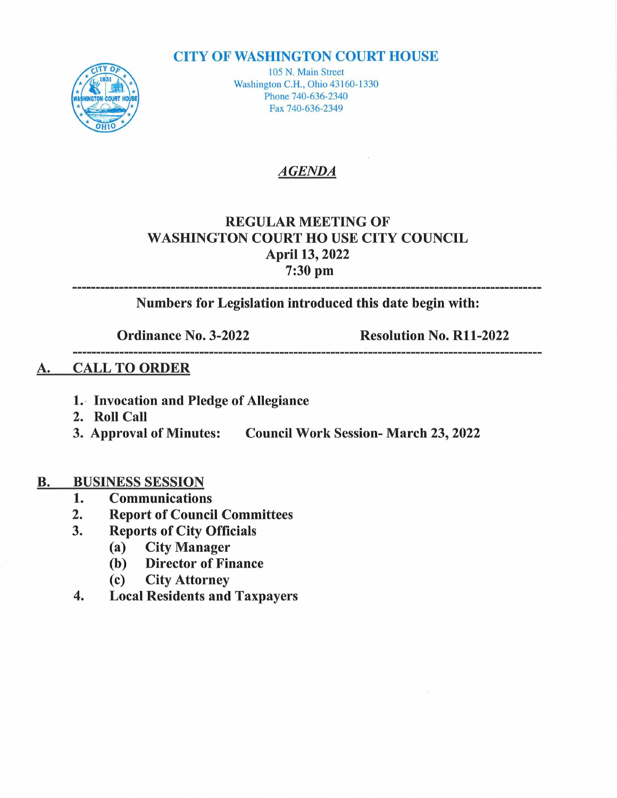#### **CITY OF WASHINGTON COURT HOUSE**



105 N. Main Street Washington C.H., Ohio 43160-1330 Phone 740-636-2340 Fax 740-636-2349

#### AGENDA

### REGULAR MEETING OF WASHINGTON COURT HOUSE CITY COUNCIL April 13, 2022 ril 13, 20<br>7:30 pm

Numbers for Legislation introduced this date begin with:

Ordinance No. 3-2022 Resolution No. Rll-2022

#### A. CALL TO ORDER

- 1. Invocation and Pledge of Allegiance
- 2. Roll Call
- 3. Approval of Minutes: Council Work Session- March 23, 2022

# **B.** BUSINESS SESSION<br>1. Communication

- 1. Communications<br>2. Report of Counci
- 2. Report of Council Committees<br>3. Reports of City Officials
- Reports of City Officials<br>(a) City Manager
	- (a) City Manager
	- (b) Director of Finance<br>(c) City Attorney
	- **City Attorney**
- 4. Local Residents and Taxpayers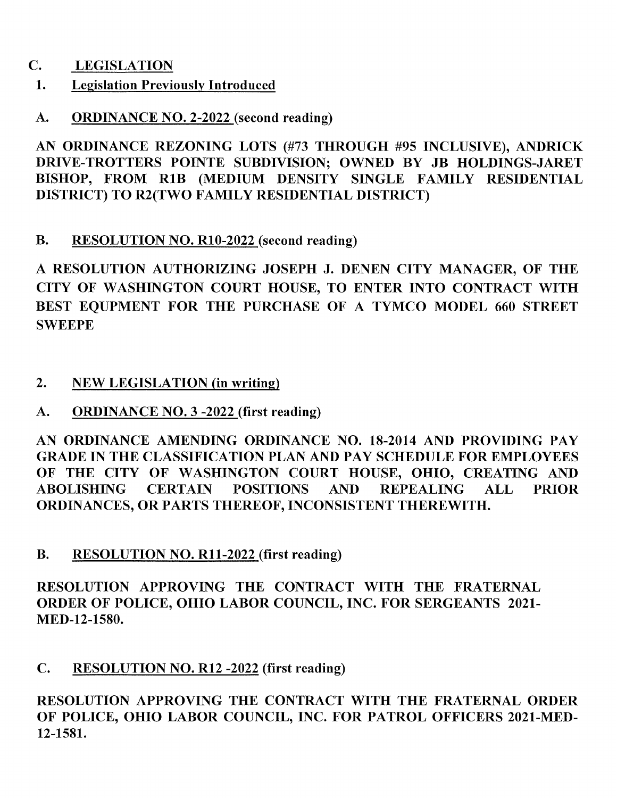- C. LEGISLATION
- 1. Legislation Previously Introduced
- A. ORDINANCE NO. 2-2022 (second reading)

A. <u>ORDINANCE NO. 2-2022</u> (second reading)<br>AN ORDINANCE REZONING LOTS (#73 THROUGH #95 INCLUSIVE), ANDRICK<br>PRIVE TROUGHES RONTE SUPPRYSION OWNER BY IN HOURINGS 1.1 RET AN ORDINANCE REZONING LOTS (#73 THROUGH #95 INCLUSIVE), ANDRICK<br>DRIVE-TROTTERS POINTE SUBDIVISION; OWNED BY JB HOLDINGS-JARET<br>PISHOP, FROM B4P, OURDIUM PENSURY SINGLE FAMILY PESIDENTIAL DRIVE-TROTTERS POINTE SUBDIVISION; OWNED BY JB HOLDINGS-JARET<br>BISHOP, FROM R1B (MEDIUM DENSITY SINGLE FAMILY RESIDENTIAL DISTRICT) TO R2(TWO FAMILY RESIDENTIAL DISTRICT)

B. RESOLUTION NO. R10-2022 (second reading)

RESOLUTION AUTHORIZING JOSEPH J. DENEN CITY MANAGER, OF THE A RESOLUTION AUTHORIZING JOSEPH J. DENEN CITY MANAGER, OF THE<br>CITY OF WASHINGTON COURT HOUSE, TO ENTER INTO CONTRACT WITH CITY OF WASHINGTON COURT HOUSE, TO ENTER INTO CONTRACT WITH<br>BEST EOUPMENT FOR THE PURCHASE OF A TYMCO MODEL 660 STREET **SWEEPE** 

- 2. NEW LEGISLATION (in writing)
- A. ORDINANCE NO. 3 -2022 (first reading)

A. SRDINANCE NO. 5-2022 (INSTRAINING)<br>AN ORDINANCE AMENDING ORDINANCE NO. 18-2014 AND PROVIDING PAY AN ORDINANCE AMENDING ORDINANCE NO. 18-2014 AND PROVIDING PAY<br>GRADE IN THE CLASSIFICATION PLAN AND PAY SCHEDULE FOR EMPLOYEES GRADE IN THE CLASSIFICATION PLAN AND PAY SCHEDULE FOR EMPLOYEES<br>OF THE CITY OF WASHINGTON COURT HOUSE, OHIO, CREATING AND OF THE CITY OF WASHINGTON COURT HOUSE, OHIO, CREATING AND ABOLISHING CERTAIN POSITIONS AND REPEALING ALL PRIOR ABOLISHING CERTAIN POSITIONS AND REPEALING ALL ORDINANCES, OR PARTS THEREOF, INCONSISTENT THEREWITH.

B. RESOLUTION NO. R11-2022 (first reading)

RESOLUTION APPROVING THE CONTRACT WITH THE FRATERNAL ORDER OF POLICE, OHIO LABOR COUNCIL, INC. FOR SERGEANTS 2021-MED-12-1580.

C. RESOLUTION NO. R12 -2022 (first reading)

RESOLUTION APPROVING THE CONTRACT WITH THE FRATERNAL ORDER OF POLICE, OHIO LABOR COUNCIL, INC. FOR PATROL OFFICERS 2021-MED-12-1581.